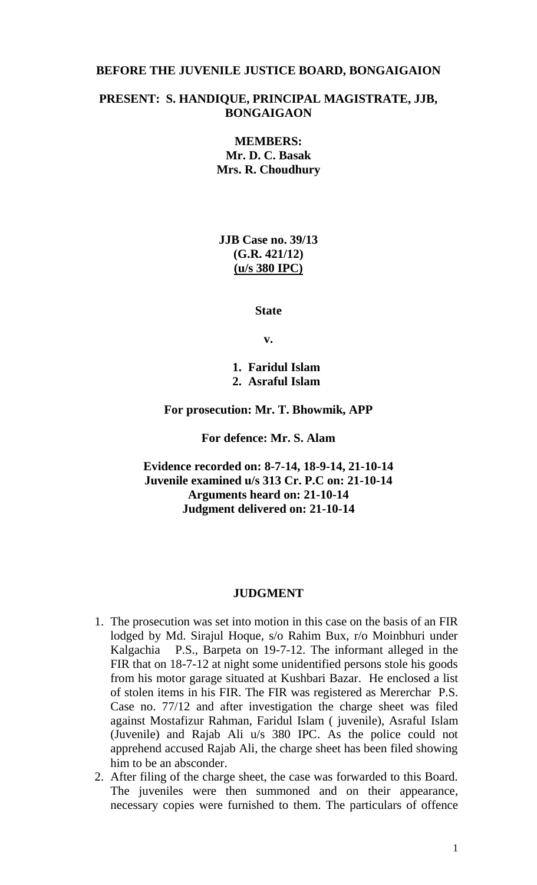## **BEFORE THE JUVENILE JUSTICE BOARD, BONGAIGAION**

## **PRESENT: S. HANDIQUE, PRINCIPAL MAGISTRATE, JJB, BONGAIGAON**

**MEMBERS: Mr. D. C. Basak Mrs. R. Choudhury**

**JJB Case no. 39/13 (G.R. 421/12) (u/s 380 IPC)**

**State**

**v.**

**1. Faridul Islam 2. Asraful Islam**

**For prosecution: Mr. T. Bhowmik, APP**

**For defence: Mr. S. Alam**

**Evidence recorded on: 8-7-14, 18-9-14, 21-10-14 Juvenile examined u/s 313 Cr. P.C on: 21-10-14 Arguments heard on: 21-10-14 Judgment delivered on: 21-10-14**

#### **JUDGMENT**

- 1. The prosecution was set into motion in this case on the basis of an FIR lodged by Md. Sirajul Hoque, s/o Rahim Bux, r/o Moinbhuri under Kalgachia P.S., Barpeta on 19-7-12. The informant alleged in the FIR that on 18-7-12 at night some unidentified persons stole his goods from his motor garage situated at Kushbari Bazar. He enclosed a list of stolen items in his FIR. The FIR was registered as Mererchar P.S. Case no. 77/12 and after investigation the charge sheet was filed against Mostafizur Rahman, Faridul Islam ( juvenile), Asraful Islam (Juvenile) and Rajab Ali u/s 380 IPC. As the police could not apprehend accused Rajab Ali, the charge sheet has been filed showing him to be an absconder.
- 2. After filing of the charge sheet, the case was forwarded to this Board. The juveniles were then summoned and on their appearance, necessary copies were furnished to them. The particulars of offence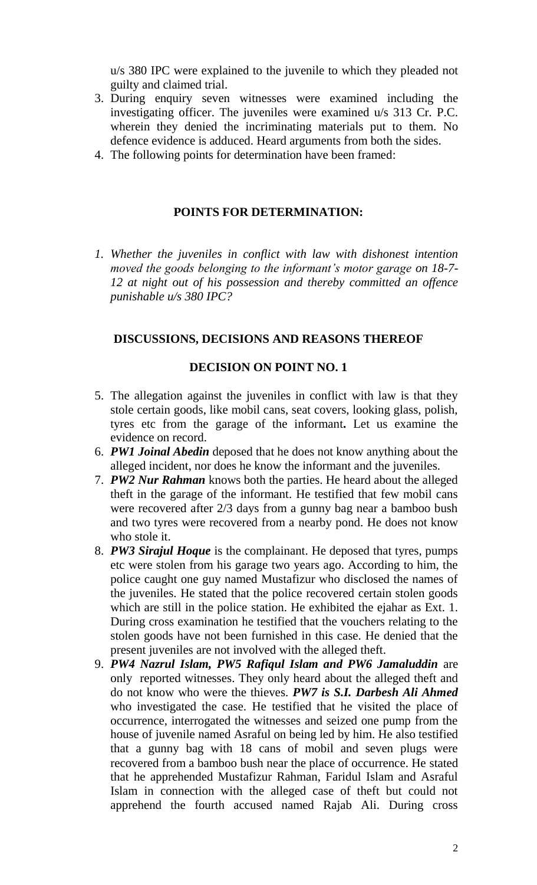u/s 380 IPC were explained to the juvenile to which they pleaded not guilty and claimed trial.

- 3. During enquiry seven witnesses were examined including the investigating officer. The juveniles were examined u/s 313 Cr. P.C. wherein they denied the incriminating materials put to them. No defence evidence is adduced. Heard arguments from both the sides.
- 4. The following points for determination have been framed:

#### **POINTS FOR DETERMINATION:**

*1. Whether the juveniles in conflict with law with dishonest intention moved the goods belonging to the informant's motor garage on 18-7- 12 at night out of his possession and thereby committed an offence punishable u/s 380 IPC?*

## **DISCUSSIONS, DECISIONS AND REASONS THEREOF**

## **DECISION ON POINT NO. 1**

- 5. The allegation against the juveniles in conflict with law is that they stole certain goods, like mobil cans, seat covers, looking glass, polish, tyres etc from the garage of the informant**.** Let us examine the evidence on record.
- 6. *PW1 Joinal Abedin* deposed that he does not know anything about the alleged incident, nor does he know the informant and the juveniles.
- 7. *PW2 Nur Rahman* knows both the parties. He heard about the alleged theft in the garage of the informant. He testified that few mobil cans were recovered after 2/3 days from a gunny bag near a bamboo bush and two tyres were recovered from a nearby pond. He does not know who stole it.
- 8. *PW3 Sirajul Hoque* is the complainant. He deposed that tyres, pumps etc were stolen from his garage two years ago. According to him, the police caught one guy named Mustafizur who disclosed the names of the juveniles. He stated that the police recovered certain stolen goods which are still in the police station. He exhibited the ejahar as Ext. 1. During cross examination he testified that the vouchers relating to the stolen goods have not been furnished in this case. He denied that the present juveniles are not involved with the alleged theft.
- 9. *PW4 Nazrul Islam, PW5 Rafiqul Islam and PW6 Jamaluddin* are only reported witnesses. They only heard about the alleged theft and do not know who were the thieves. *PW7 is S.I. Darbesh Ali Ahmed* who investigated the case. He testified that he visited the place of occurrence, interrogated the witnesses and seized one pump from the house of juvenile named Asraful on being led by him. He also testified that a gunny bag with 18 cans of mobil and seven plugs were recovered from a bamboo bush near the place of occurrence. He stated that he apprehended Mustafizur Rahman, Faridul Islam and Asraful Islam in connection with the alleged case of theft but could not apprehend the fourth accused named Rajab Ali. During cross